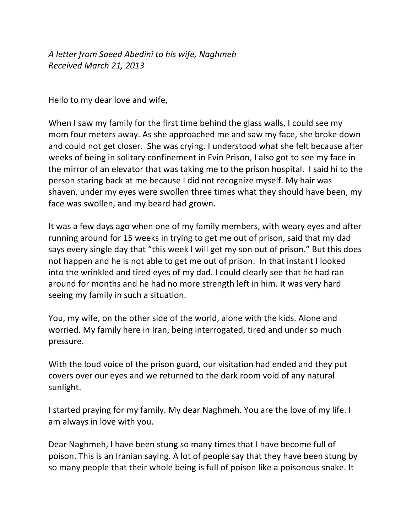*A letter from Saeed Abedini to his wife, Naghmeh Received March 21, 2013*

Hello to my dear love and wife,

When I saw my family for the first time behind the glass walls, I could see my mom four meters away. As she approached me and saw my face, she broke down and could not get closer. She was crying. I understood what she felt because after weeks of being in solitary confinement in Evin Prison, I also got to see my face in the mirror of an elevator that was taking me to the prison hospital. I said hi to the person staring back at me because I did not recognize myself. My hair was shaven, under my eyes were swollen three times what they should have been, my face was swollen, and my beard had grown.

It was a few days ago when one of my family members, with weary eyes and after running around for 15 weeks in trying to get me out of prison, said that my dad says every single day that "this week I will get my son out of prison." But this does not happen and he is not able to get me out of prison. In that instant I looked into the wrinkled and tired eyes of my dad. I could clearly see that he had ran around for months and he had no more strength left in him. It was very hard seeing my family in such a situation.

You, my wife, on the other side of the world, alone with the kids. Alone and worried. My family here in Iran, being interrogated, tired and under so much pressure.

With the loud voice of the prison guard, our visitation had ended and they put covers over our eyes and we returned to the dark room void of any natural sunlight.

I started praying for my family. My dear Naghmeh. You are the love of my life. I am always in love with you.

Dear Naghmeh, I have been stung so many times that I have become full of poison. This is an Iranian saying. A lot of people say that they have been stung by so many people that their whole being is full of poison like a poisonous snake. It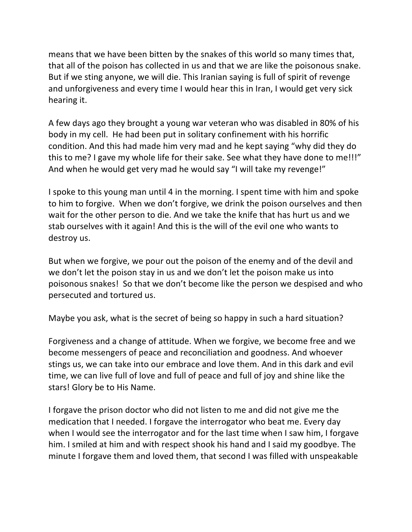means that we have been bitten by the snakes of this world so many times that, that all of the poison has collected in us and that we are like the poisonous snake. But if we sting anyone, we will die. This Iranian saying is full of spirit of revenge and unforgiveness and every time I would hear this in Iran, I would get very sick hearing it.

A few days ago they brought a young war veteran who was disabled in 80% of his body in my cell. He had been put in solitary confinement with his horrific condition. And this had made him very mad and he kept saying "why did they do this to me? I gave my whole life for their sake. See what they have done to me!!!" And when he would get very mad he would say "I will take my revenge!"

I spoke to this young man until 4 in the morning. I spent time with him and spoke to him to forgive. When we don't forgive, we drink the poison ourselves and then wait for the other person to die. And we take the knife that has hurt us and we stab ourselves with it again! And this is the will of the evil one who wants to destroy us.

But when we forgive, we pour out the poison of the enemy and of the devil and we don't let the poison stay in us and we don't let the poison make us into poisonous snakes! So that we don't become like the person we despised and who persecuted and tortured us.

Maybe you ask, what is the secret of being so happy in such a hard situation?

Forgiveness and a change of attitude. When we forgive, we become free and we become messengers of peace and reconciliation and goodness. And whoever stings us, we can take into our embrace and love them. And in this dark and evil time, we can live full of love and full of peace and full of joy and shine like the stars! Glory be to His Name.

I forgave the prison doctor who did not listen to me and did not give me the medication that I needed. I forgave the interrogator who beat me. Every day when I would see the interrogator and for the last time when I saw him, I forgave him. I smiled at him and with respect shook his hand and I said my goodbye. The minute I forgave them and loved them, that second I was filled with unspeakable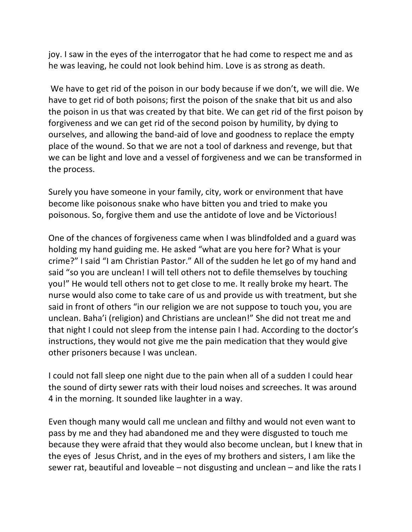joy. I saw in the eyes of the interrogator that he had come to respect me and as he was leaving, he could not look behind him. Love is as strong as death.

We have to get rid of the poison in our body because if we don't, we will die. We have to get rid of both poisons; first the poison of the snake that bit us and also the poison in us that was created by that bite. We can get rid of the first poison by forgiveness and we can get rid of the second poison by humility, by dying to ourselves, and allowing the band-aid of love and goodness to replace the empty place of the wound. So that we are not a tool of darkness and revenge, but that we can be light and love and a vessel of forgiveness and we can be transformed in the process.

Surely you have someone in your family, city, work or environment that have become like poisonous snake who have bitten you and tried to make you poisonous. So, forgive them and use the antidote of love and be Victorious!

One of the chances of forgiveness came when I was blindfolded and a guard was holding my hand guiding me. He asked "what are you here for? What is your crime?" I said "I am Christian Pastor." All of the sudden he let go of my hand and said "so you are unclean! I will tell others not to defile themselves by touching you!" He would tell others not to get close to me. It really broke my heart. The nurse would also come to take care of us and provide us with treatment, but she said in front of others "in our religion we are not suppose to touch you, you are unclean. Baha'i (religion) and Christians are unclean!" She did not treat me and that night I could not sleep from the intense pain I had. According to the doctor's instructions, they would not give me the pain medication that they would give other prisoners because I was unclean.

I could not fall sleep one night due to the pain when all of a sudden I could hear the sound of dirty sewer rats with their loud noises and screeches. It was around 4 in the morning. It sounded like laughter in a way.

Even though many would call me unclean and filthy and would not even want to pass by me and they had abandoned me and they were disgusted to touch me because they were afraid that they would also become unclean, but I knew that in the eyes of Jesus Christ, and in the eyes of my brothers and sisters, I am like the sewer rat, beautiful and loveable  $-$  not disgusting and unclean  $-$  and like the rats I